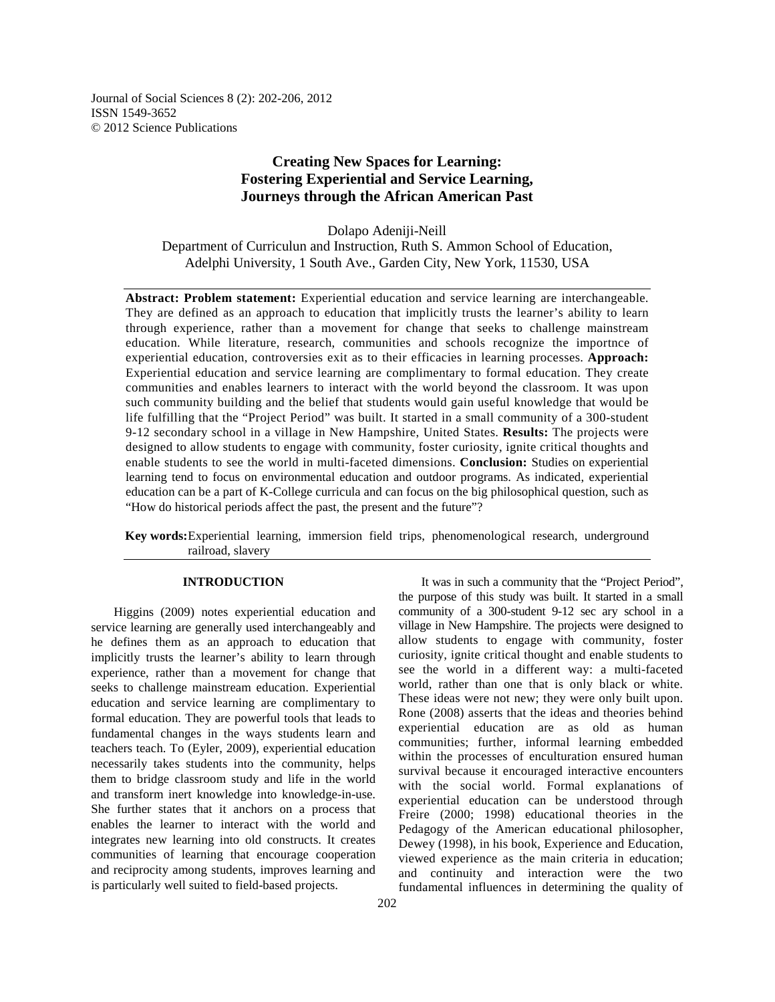Journal of Social Sciences 8 (2): 202-206, 2012 ISSN 1549-3652 © 2012 Science Publications

# **Creating New Spaces for Learning: Fostering Experiential and Service Learning, Journeys through the African American Past**

Dolapo Adeniji-Neill Department of Curriculun and Instruction, Ruth S. Ammon School of Education, Adelphi University, 1 South Ave., Garden City, New York, 11530, USA

**Abstract: Problem statement:** Experiential education and service learning are interchangeable. They are defined as an approach to education that implicitly trusts the learner's ability to learn through experience, rather than a movement for change that seeks to challenge mainstream education. While literature, research, communities and schools recognize the importnce of experiential education, controversies exit as to their efficacies in learning processes. **Approach:**  Experiential education and service learning are complimentary to formal education. They create communities and enables learners to interact with the world beyond the classroom. It was upon such community building and the belief that students would gain useful knowledge that would be life fulfilling that the "Project Period" was built. It started in a small community of a 300-student 9-12 secondary school in a village in New Hampshire, United States. **Results:** The projects were designed to allow students to engage with community, foster curiosity, ignite critical thoughts and enable students to see the world in multi-faceted dimensions. **Conclusion:** Studies on experiential learning tend to focus on environmental education and outdoor programs. As indicated, experiential education can be a part of K-College curricula and can focus on the big philosophical question, such as "How do historical periods affect the past, the present and the future"?

**Key words:** Experiential learning, immersion field trips, phenomenological research, underground railroad, slavery

## **INTRODUCTION**

 Higgins (2009) notes experiential education and service learning are generally used interchangeably and he defines them as an approach to education that implicitly trusts the learner's ability to learn through experience, rather than a movement for change that seeks to challenge mainstream education. Experiential education and service learning are complimentary to formal education. They are powerful tools that leads to fundamental changes in the ways students learn and teachers teach. To (Eyler, 2009), experiential education necessarily takes students into the community, helps them to bridge classroom study and life in the world and transform inert knowledge into knowledge-in-use. She further states that it anchors on a process that enables the learner to interact with the world and integrates new learning into old constructs. It creates communities of learning that encourage cooperation and reciprocity among students, improves learning and is particularly well suited to field-based projects.

 It was in such a community that the "Project Period", the purpose of this study was built. It started in a small community of a 300-student 9-12 sec ary school in a village in New Hampshire. The projects were designed to allow students to engage with community, foster curiosity, ignite critical thought and enable students to see the world in a different way: a multi-faceted world, rather than one that is only black or white. These ideas were not new; they were only built upon. Rone (2008) asserts that the ideas and theories behind experiential education are as old as human communities; further, informal learning embedded within the processes of enculturation ensured human survival because it encouraged interactive encounters with the social world. Formal explanations of experiential education can be understood through Freire (2000; 1998) educational theories in the Pedagogy of the American educational philosopher, Dewey (1998), in his book, Experience and Education, viewed experience as the main criteria in education; and continuity and interaction were the two fundamental influences in determining the quality of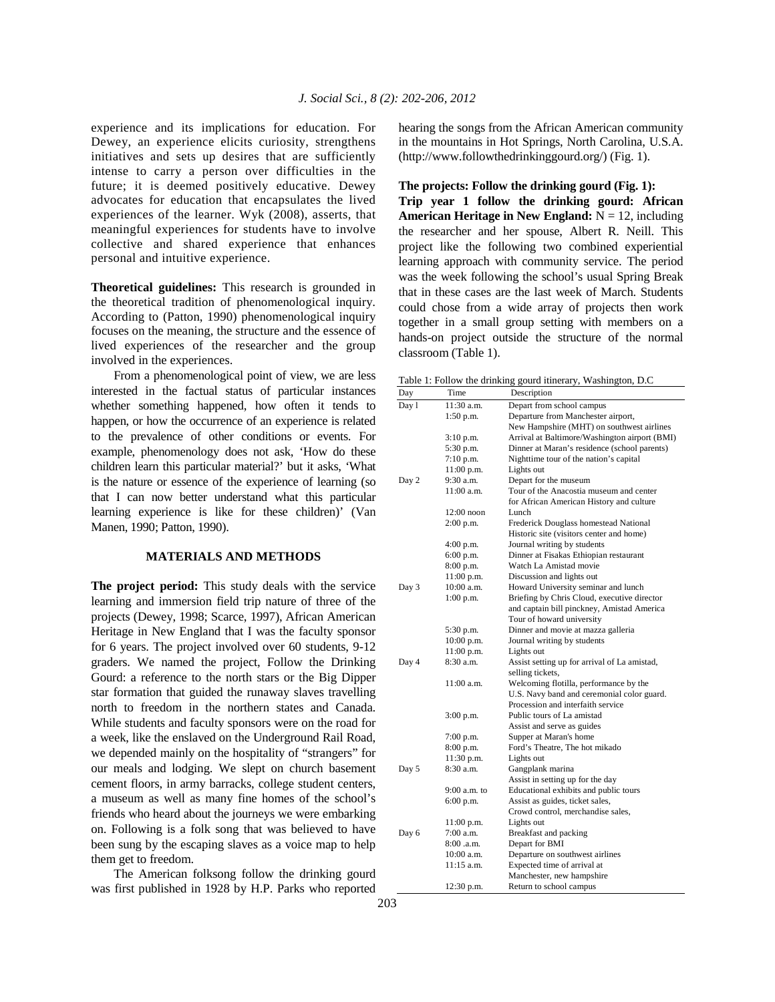experience and its implications for education. For Dewey, an experience elicits curiosity, strengthens initiatives and sets up desires that are sufficiently intense to carry a person over difficulties in the future; it is deemed positively educative. Dewey advocates for education that encapsulates the lived experiences of the learner. Wyk (2008), asserts, that meaningful experiences for students have to involve collective and shared experience that enhances personal and intuitive experience.

**Theoretical guidelines:** This research is grounded in the theoretical tradition of phenomenological inquiry. According to (Patton, 1990) phenomenological inquiry focuses on the meaning, the structure and the essence of lived experiences of the researcher and the group involved in the experiences.

 From a phenomenological point of view, we are less interested in the factual status of particular instances whether something happened, how often it tends to happen, or how the occurrence of an experience is related to the prevalence of other conditions or events. For example, phenomenology does not ask, 'How do these children learn this particular material?' but it asks, 'What is the nature or essence of the experience of learning (so that I can now better understand what this particular learning experience is like for these children)' (Van Manen, 1990; Patton, 1990).

## **MATERIALS AND METHODS**

**The project period:** This study deals with the service learning and immersion field trip nature of three of the projects (Dewey, 1998; Scarce, 1997), African American Heritage in New England that I was the faculty sponsor for 6 years. The project involved over 60 students, 9-12 graders. We named the project, Follow the Drinking Gourd: a reference to the north stars or the Big Dipper star formation that guided the runaway slaves travelling north to freedom in the northern states and Canada. While students and faculty sponsors were on the road for a week, like the enslaved on the Underground Rail Road, we depended mainly on the hospitality of "strangers" for our meals and lodging. We slept on church basement cement floors, in army barracks, college student centers, a museum as well as many fine homes of the school's friends who heard about the journeys we were embarking on. Following is a folk song that was believed to have been sung by the escaping slaves as a voice map to help them get to freedom.

 The American folksong follow the drinking gourd was first published in 1928 by H.P. Parks who reported hearing the songs from the African American community in the mountains in Hot Springs, North Carolina, U.S.A. (http://www.followthedrinkinggourd.org/) (Fig. 1).

#### **The projects: Follow the drinking gourd (Fig. 1):**

**Trip year 1 follow the drinking gourd: African American Heritage in New England:**  $N = 12$ , including the researcher and her spouse, Albert R. Neill. This project like the following two combined experiential learning approach with community service. The period was the week following the school's usual Spring Break that in these cases are the last week of March. Students could chose from a wide array of projects then work together in a small group setting with members on a hands-on project outside the structure of the normal classroom (Table 1).

Table 1: Follow the drinking gourd itinerary, Washington, D.C

| Day   | Time         | Description                                                                          |
|-------|--------------|--------------------------------------------------------------------------------------|
| Day 1 | 11:30 a.m.   | Depart from school campus                                                            |
|       | 1:50 p.m.    | Departure from Manchester airport,                                                   |
|       |              | New Hampshire (MHT) on southwest airlines                                            |
|       | 3:10 p.m.    | Arrival at Baltimore/Washington airport (BMI)                                        |
|       | 5:30 p.m.    | Dinner at Maran's residence (school parents)                                         |
|       | $7:10$ p.m.  | Nighttime tour of the nation's capital                                               |
|       | 11:00 p.m.   | Lights out                                                                           |
| Day 2 | 9:30 a.m.    | Depart for the museum                                                                |
|       | $11:00$ a.m. | Tour of the Anacostia museum and center                                              |
|       |              | for African American History and culture                                             |
|       | $12:00$ noon | Lunch                                                                                |
|       | $2:00$ p.m.  | Frederick Douglass homestead National                                                |
|       |              | Historic site (visitors center and home)                                             |
|       | $4:00$ p.m.  | Journal writing by students                                                          |
|       | 6:00 p.m.    | Dinner at Fisakas Ethiopian restaurant                                               |
|       | 8:00 p.m.    | Watch La Amistad movie                                                               |
|       | $11:00$ p.m. | Discussion and lights out                                                            |
| Day 3 | 10:00 a.m.   | Howard University seminar and lunch                                                  |
|       | $1:00$ p.m.  | Briefing by Chris Cloud, executive director                                          |
|       |              | and captain bill pinckney, Amistad America                                           |
|       |              | Tour of howard university                                                            |
|       | 5:30 p.m.    | Dinner and movie at mazza galleria                                                   |
|       | 10:00 p.m.   | Journal writing by students                                                          |
|       | $11:00$ p.m. | Lights out                                                                           |
| Day 4 | 8:30 a.m.    | Assist setting up for arrival of La amistad,                                         |
|       |              | selling tickets,                                                                     |
|       | 11:00 a.m.   | Welcoming flotilla, performance by the<br>U.S. Navy band and ceremonial color guard. |
|       |              | Procession and interfaith service                                                    |
|       | 3:00 p.m.    | Public tours of La amistad                                                           |
|       |              | Assist and serve as guides                                                           |
|       | 7:00 p.m.    | Supper at Maran's home                                                               |
|       | 8:00 p.m.    | Ford's Theatre, The hot mikado                                                       |
|       | 11:30 p.m.   | Lights out                                                                           |
| Day 5 | 8:30 a.m.    | Gangplank marina                                                                     |
|       |              | Assist in setting up for the day                                                     |
|       | 9:00 a.m. to | Educational exhibits and public tours                                                |
|       | $6:00$ p.m.  | Assist as guides, ticket sales,                                                      |
|       |              | Crowd control, merchandise sales,                                                    |
|       | 11:00 p.m.   | Lights out                                                                           |
| Day 6 | $7:00$ a.m.  | Breakfast and packing                                                                |
|       | 8:00 .a.m.   | Depart for BMI                                                                       |
|       | $10:00$ a.m. | Departure on southwest airlines                                                      |
|       | 11:15 a.m.   | Expected time of arrival at                                                          |
|       |              | Manchester, new hampshire                                                            |
|       | 12:30 p.m.   | Return to school campus                                                              |
|       |              |                                                                                      |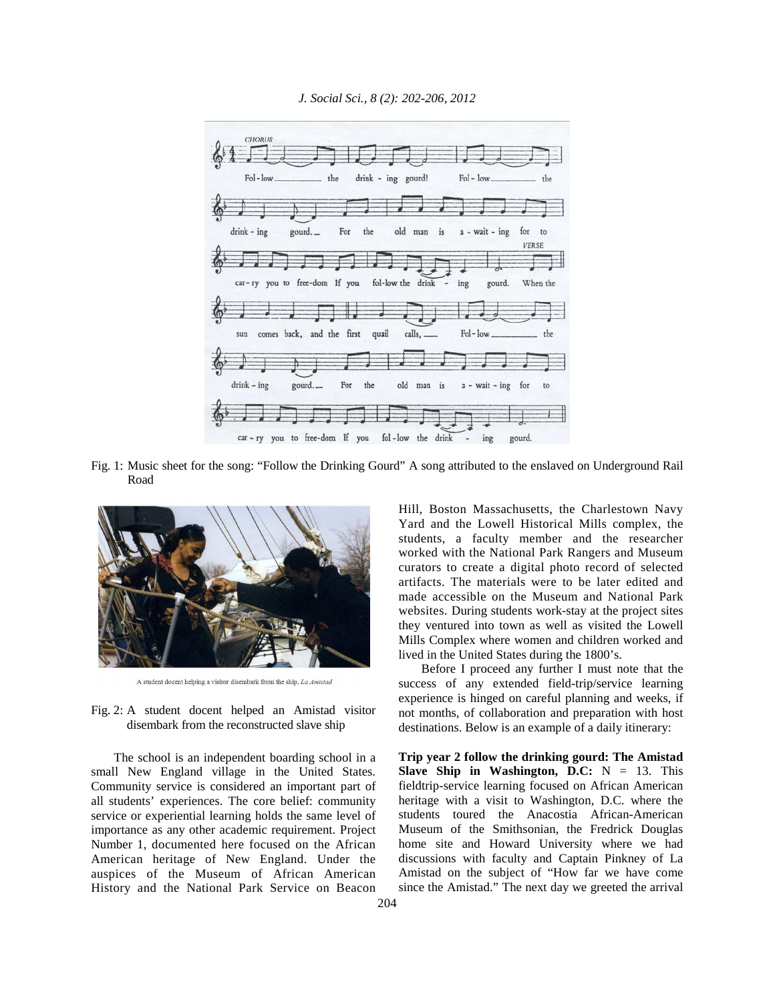



Fig. 1: Music sheet for the song: "Follow the Drinking Gourd" A song attributed to the enslaved on Underground Rail Road



A student docent helping a visitor disembark from the ship, La Amistad

Fig. 2: A student docent helped an Amistad visitor disembark from the reconstructed slave ship

 The school is an independent boarding school in a small New England village in the United States. Community service is considered an important part of all students' experiences. The core belief: community service or experiential learning holds the same level of importance as any other academic requirement. Project Number 1, documented here focused on the African American heritage of New England. Under the auspices of the Museum of African American History and the National Park Service on Beacon Hill, Boston Massachusetts, the Charlestown Navy Yard and the Lowell Historical Mills complex, the students, a faculty member and the researcher worked with the National Park Rangers and Museum curators to create a digital photo record of selected artifacts. The materials were to be later edited and made accessible on the Museum and National Park websites. During students work-stay at the project sites they ventured into town as well as visited the Lowell Mills Complex where women and children worked and lived in the United States during the 1800's.

 Before I proceed any further I must note that the success of any extended field-trip/service learning experience is hinged on careful planning and weeks, if not months, of collaboration and preparation with host destinations. Below is an example of a daily itinerary:

**Trip year 2 follow the drinking gourd: The Amistad Slave Ship in Washington, D.C:**  $N = 13$ . This fieldtrip-service learning focused on African American heritage with a visit to Washington, D.C. where the students toured the Anacostia African-American Museum of the Smithsonian, the Fredrick Douglas home site and Howard University where we had discussions with faculty and Captain Pinkney of La Amistad on the subject of "How far we have come since the Amistad." The next day we greeted the arrival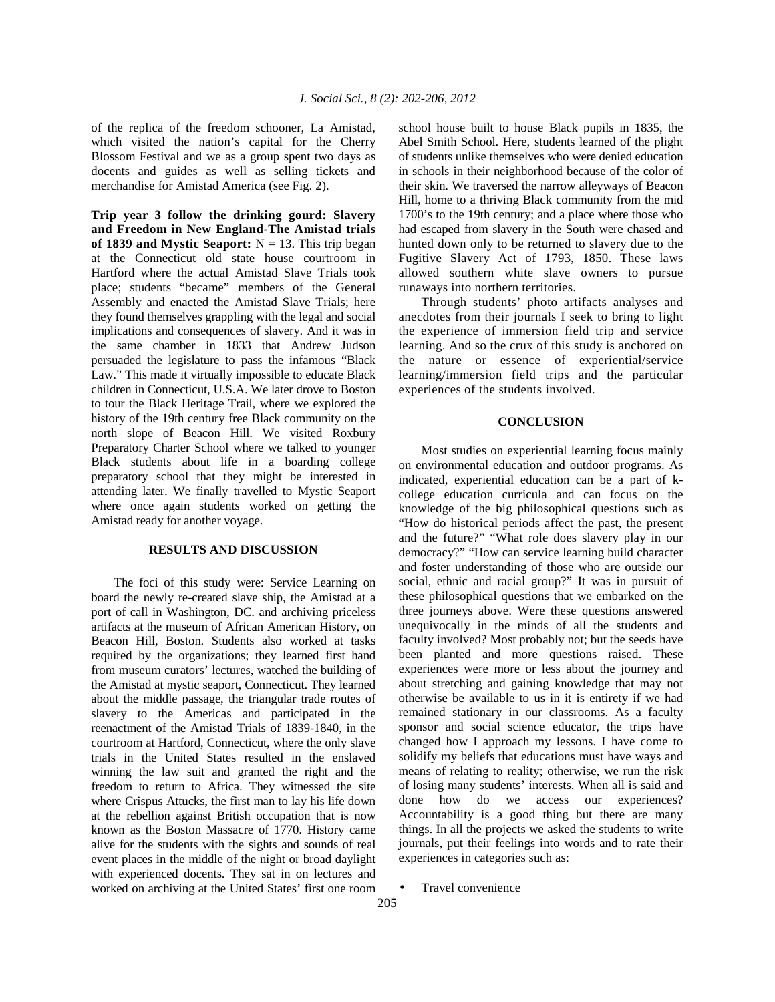of the replica of the freedom schooner, La Amistad, which visited the nation's capital for the Cherry Blossom Festival and we as a group spent two days as docents and guides as well as selling tickets and merchandise for Amistad America (see Fig. 2).

**Trip year 3 follow the drinking gourd: Slavery and Freedom in New England-The Amistad trials of 1839 and Mystic Seaport:**  $N = 13$ . This trip began at the Connecticut old state house courtroom in Hartford where the actual Amistad Slave Trials took place; students "became" members of the General Assembly and enacted the Amistad Slave Trials; here they found themselves grappling with the legal and social implications and consequences of slavery. And it was in the same chamber in 1833 that Andrew Judson persuaded the legislature to pass the infamous "Black Law." This made it virtually impossible to educate Black children in Connecticut, U.S.A. We later drove to Boston to tour the Black Heritage Trail, where we explored the history of the 19th century free Black community on the north slope of Beacon Hill. We visited Roxbury Preparatory Charter School where we talked to younger Black students about life in a boarding college preparatory school that they might be interested in attending later. We finally travelled to Mystic Seaport where once again students worked on getting the Amistad ready for another voyage.

### **RESULTS AND DISCUSSION**

 The foci of this study were: Service Learning on board the newly re-created slave ship, the Amistad at a port of call in Washington, DC. and archiving priceless artifacts at the museum of African American History, on Beacon Hill, Boston. Students also worked at tasks required by the organizations; they learned first hand from museum curators' lectures, watched the building of the Amistad at mystic seaport, Connecticut. They learned about the middle passage, the triangular trade routes of slavery to the Americas and participated in the reenactment of the Amistad Trials of 1839-1840, in the courtroom at Hartford, Connecticut, where the only slave trials in the United States resulted in the enslaved winning the law suit and granted the right and the freedom to return to Africa. They witnessed the site where Crispus Attucks, the first man to lay his life down at the rebellion against British occupation that is now known as the Boston Massacre of 1770. History came alive for the students with the sights and sounds of real event places in the middle of the night or broad daylight with experienced docents. They sat in on lectures and worked on archiving at the United States' first one room

school house built to house Black pupils in 1835, the Abel Smith School. Here, students learned of the plight of students unlike themselves who were denied education in schools in their neighborhood because of the color of their skin. We traversed the narrow alleyways of Beacon Hill, home to a thriving Black community from the mid 1700's to the 19th century; and a place where those who had escaped from slavery in the South were chased and hunted down only to be returned to slavery due to the Fugitive Slavery Act of 1793, 1850. These laws allowed southern white slave owners to pursue runaways into northern territories.

 Through students' photo artifacts analyses and anecdotes from their journals I seek to bring to light the experience of immersion field trip and service learning. And so the crux of this study is anchored on the nature or essence of experiential/service learning/immersion field trips and the particular experiences of the students involved.

#### **CONCLUSION**

 Most studies on experiential learning focus mainly on environmental education and outdoor programs. As indicated, experiential education can be a part of kcollege education curricula and can focus on the knowledge of the big philosophical questions such as "How do historical periods affect the past, the present and the future?" "What role does slavery play in our democracy?" "How can service learning build character and foster understanding of those who are outside our social, ethnic and racial group?" It was in pursuit of these philosophical questions that we embarked on the three journeys above. Were these questions answered unequivocally in the minds of all the students and faculty involved? Most probably not; but the seeds have been planted and more questions raised. These experiences were more or less about the journey and about stretching and gaining knowledge that may not otherwise be available to us in it is entirety if we had remained stationary in our classrooms. As a faculty sponsor and social science educator, the trips have changed how I approach my lessons. I have come to solidify my beliefs that educations must have ways and means of relating to reality; otherwise, we run the risk of losing many students' interests. When all is said and done how do we access our experiences? Accountability is a good thing but there are many things. In all the projects we asked the students to write journals, put their feelings into words and to rate their experiences in categories such as:

• Travel convenience